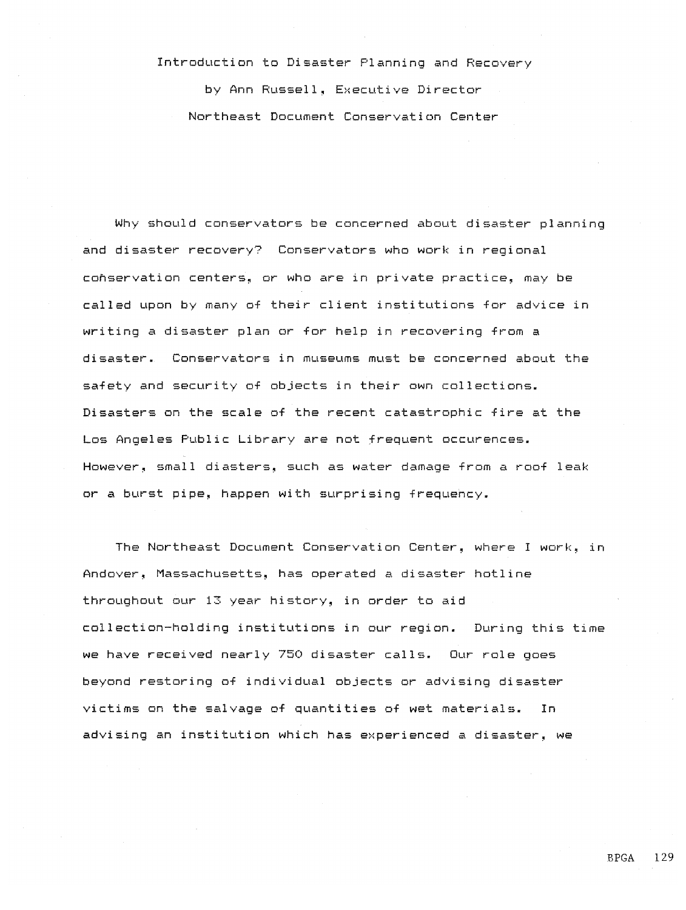Introduction to Disaster Planning and Recovery by Ann Russell, Executive Director Northeast Document Conservation Center

Why should conservators be concerned about disaster planning and disaster recovery? Conservators who work in regional cohservation centers, or who are in private practice, may be called upon by many of their client institutions for advice in writing a disaster plan or for help in recovering from a disaster. Conservators in museums must be concerned about the safety and security of objects in their own collections. Disasters on the scale of the recent catastrophic fire at the Los Angeles Public Library are not frequent occurences. However, small diasters, such as water damage from a roof leak or a burst pipe, happen with surprising frequency.

The Northeast Document Conservation Center, where I work, in Andover, Massachusetts, has operated a disaster hotline throughout our 13 year history, in order to aid collection-holding institutions in our region. During this time **we** have received nearly 750 disaster calls. Our role goes beyond restoring of individual objects or advising disaster victims on the salvage of quantities of wet materials. In advising an institution which has experienced a disaster, we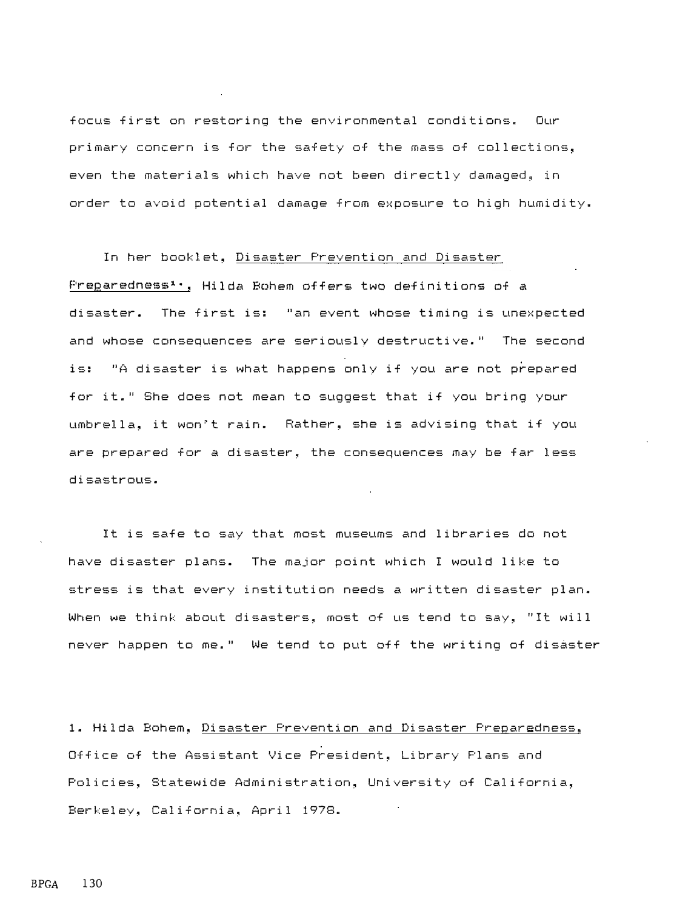focus first on restoring the environmental conditions. Our primary concern is for the safety of the mass of collections. even the materials which have not been directly damaged, in order to avoid potential damage from exposure to high humidity.

In her booklet, Disaster Prevention and Disaster Preparedness<sup>1</sup>·. Hilda Bohem offers two definitions of a disaster. The first is: "an event whose timing is unexpected and whose consequences are seriously destructive." The second is: "A disaster is what happens only if you are not prepared for it." She does not mean to suggest that if you bring your umbrella. it won"t rain. Rather, she is advising that if you are prepared for a disaster, the consequences may be far less disastrous.

It is safe to say that most museums and libraries do not have disaster plans. The major point which I would like to stress is that every institution needs a written disaster plan. When we think about disasters. most of us tend to say, "It will never happen to me." We tend to put off the writing of disaster

1. Hilda Bohem. Disaster Prevention and Disaster Prepar�dness. Office of the Assistant Vice President. Library Plans and Policies. Statewide Administration. University of California. Berkeley. California. April 1978.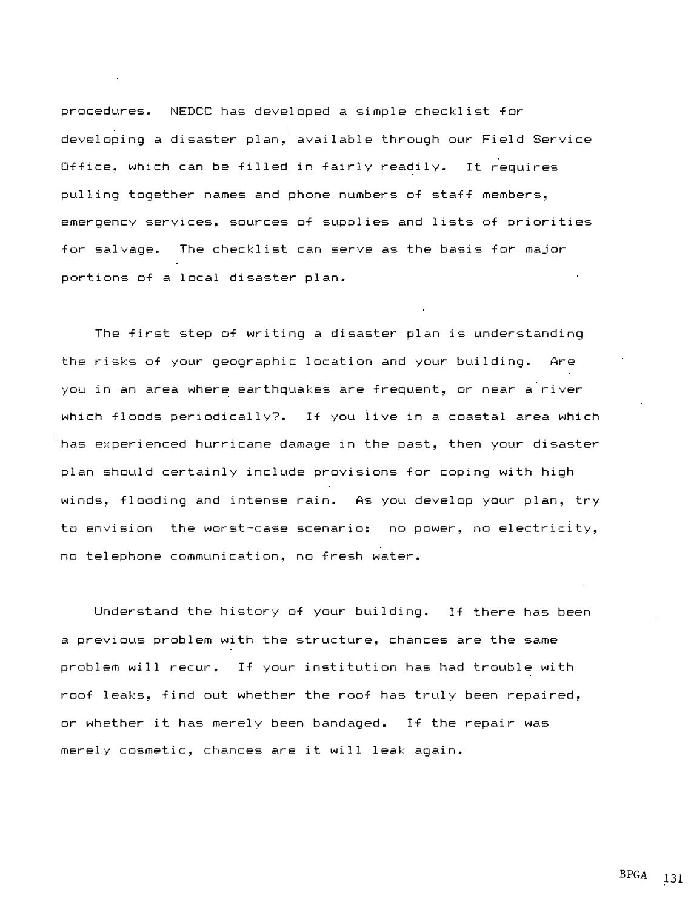procedures. NEDCC has developed a simple checklist for developing a disaster plan, available through our Field Service Office, which can be filled in fairly readily. It requires pulling together names and phone numbers of staff members, emergency services, sources of supplies and lists of priorities for salvage. The checklist can serve as the basis for major portions of a local disaster plan.

The first step of writing a disaster plan is understanding the risks of your geographic location and your building. Are you in an area where earthquakes are frequent, or near a river which floods periodically?. If you live in a coastal area which has experienced hurricane damage in the past, then your disaster plan should certainly include provisions for coping with high winds, flooding and intense rain. As you develop your plan, try to envision the worst-case scenario: no power, no electricity, no telephone communication, no fresh water.

Understand the history of your building. If there has been a previous problem with the structure, chances are the same problem will recur. If your institution has had trouble with roof leaks, find out whether the roof has truly been repaired, or whether it has merely been bandaged. If the repair was merely cosmetic, chances are it will leak again.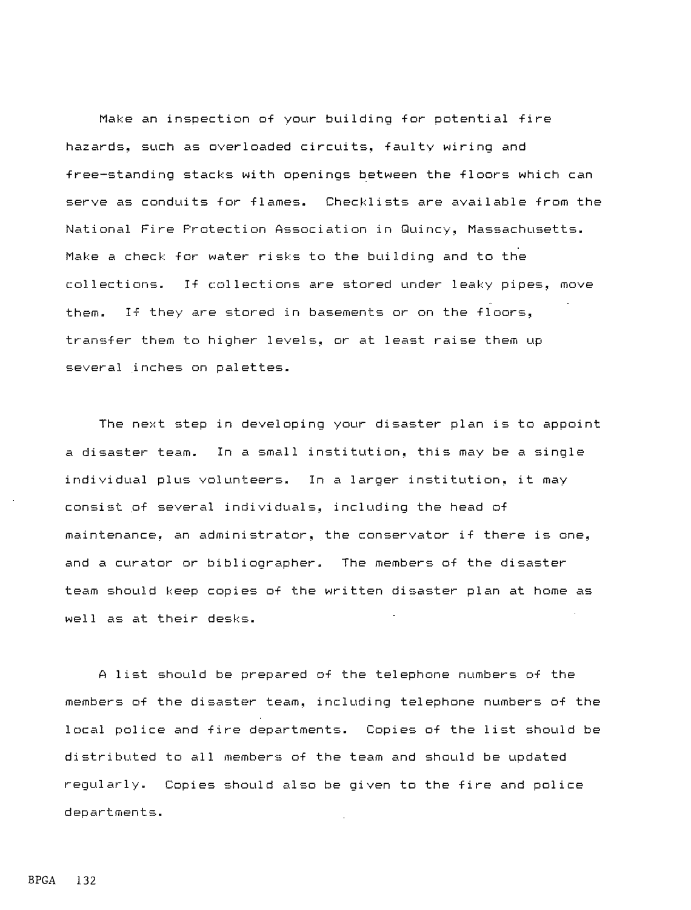Make an inspection of your building for potential fire hazards, such as overloaded circuits, faulty wiring and free-standing stacks with openings �etween the floors which can serve as conduits for flames. Checklists are available from the National Fire Protection Association in Quincy, Massachusetts. Make a check for water risks to the building and to the collections. If collections are stored under leaky pipes, move them. If they are stored in basements or on the floors, transfer them to higher levels, or at least raise them up several jnches on palettes.

The next step in developing your disaster plan is to appoint a disaster team. In a small institution, this may be a single individual plus volunteers. In a larger institution, it may consist of several individuals, including the head of maintenance, an administrator, the conservator if there is one, and a curator or bibliographer. The members of the disaster team should keep copies of the written disaster plan at home as well as at their desks.

A list should be prepared of the telephone numbers of the members of the disaster team, including telephone numbers of the local police and fire departments. Copies of the list should be distributed to all members of the team and should be updated regularly. Copies should also be given to the fire and police departments.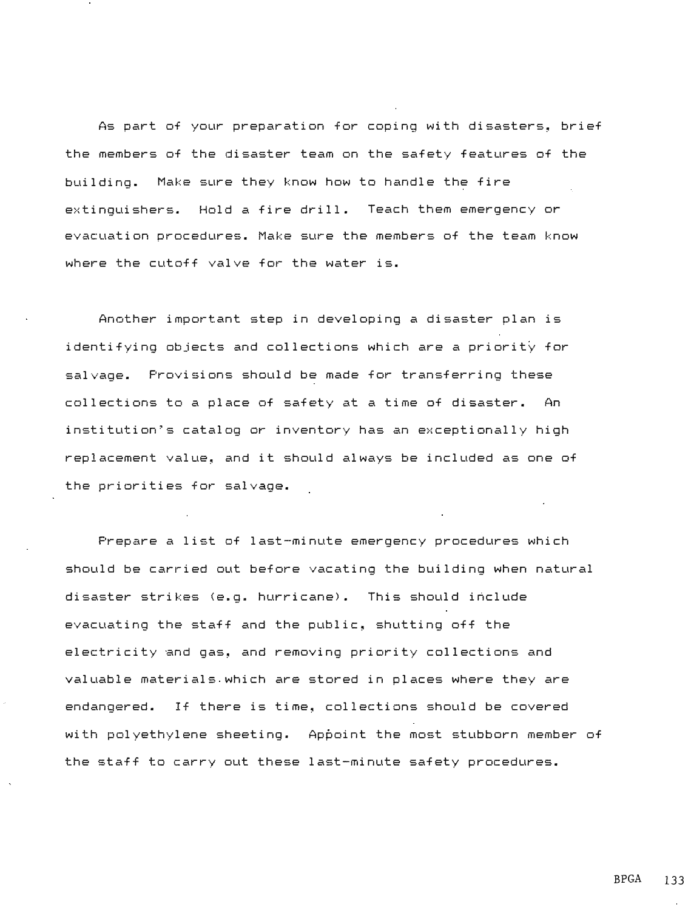As part of your preparation for coping with disasters, brief the members of the disaster team on the safety features of the building. Make sure they know how to handle the fire extinguishers. Hold a fire drill. Teach them emergency or evacuation procedures. Make sure the members of the team know where the cutoff valve for the water is.

Another important step in developing a disaster plan is identifying objects and collections which are a priority for salvage. Provisions should be made for transferring these collections to a place of safety at a time of disaster. An institution"s catalog or inventory has an exceptionally high replacement value, and it should always be included as one of the priorities for salvage.

Prepare a list of last-minute emergency procedures which should be carried out before vacating the building when natural disaster strikes (e.g. hurricane). This should include evacuating the staff and the public, shutting off the electricity and gas� and removing priority collections and valuable materials which are stored in places where they are endangered. If there is time, collections should be covered with polyethylene sheeting. Ap�oint the most stubborn member of the staff to carry out these last-minute safety procedures.

BPGA 133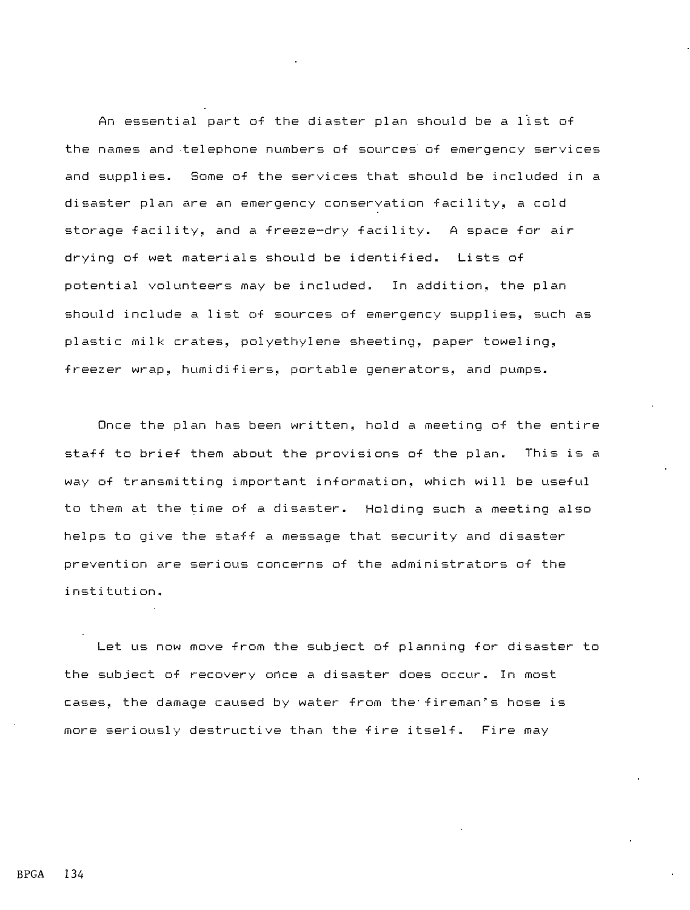An essential part of the diaster plan should be a list of the names and telephone numbers of sources of emergency services and supplies. Some of the services that should be included in a disaster plan are an emergency conservation facility, a cold storage facility, and a freeze-dry facility. A space for air drying of wet materials should be identified. Lists of potential volunteers may be included. In addition, the plan should include a list of sources of emergency supplies, such as plastic milk crates, polyethylene sheeting, paper toweling, freezer wrap, humidifiers, portable generators, and pumps.

Once the plan has been written, hold a meeting of the entire staff to brief them about the provisions of the plan. This is a way of transmitting important information, which will be useful to them at the time of a disaster . Holding such a meeting also helps to give the staff a message that security and disaster prevention are serious concerns of the administrators of the institution.

Let us now move from the subject of planning for disaster to the subject of recovery once a disaster does occur. In most cases, the damage caused by water from the fireman's hose is more seriously destructive than the fire itself. Fire may

BPGA 134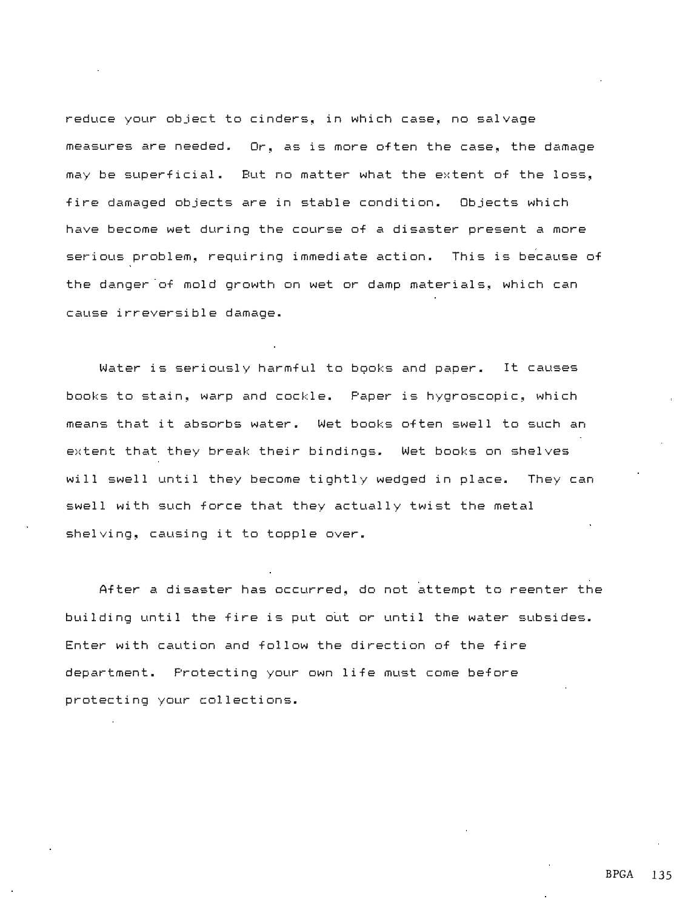reduce your object to cinders, in which case, no salvage measures are needed. Or, as is more often the case, the damage may be superficial. But no matter what the extent of the loss, fire damaged objects are in stable condition. Objects which have become wet during the course of a disaster present a more serious problem, requiring immediate action. This is because of the danger of mold growth on wet or damp materials, which can cause irreversible damage.

Water is seriously harmful to books and paper. It causes books to stain, warp and cockle. Paper is hygroscopic, which means that it absorbs water. Wet books often swell to such an extent that they break their bindings. Wet books on shelves **will** swell until they become tightly wedged in place. They can swell with such force that they actually twist the metal shelving, causing it to topple over.

After a disaster has occurred, do not attempt to reenter the building until the fire is put out or until the water subsides. Enter with caution and follow the direction of the fire department. Protecting your own life must come before protecting your collections.

BPGA 135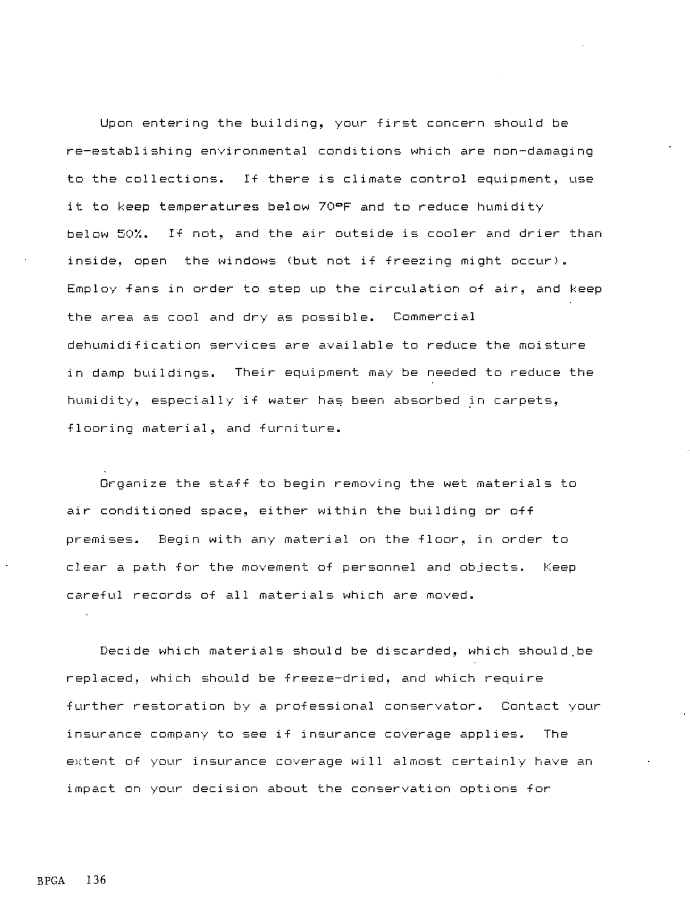Upon entering the building, your first concern should be re-establishing environmental conditions which are non-damaging to the collections. If there is climate control equipment, use it to keep temperatures below 70°F and to reduce humidity below 50%. If not, and the air outside is cooler and drier than inside, open the windows (but not if freezing might occur). Employ fans in order to step up the circulation of air, and keep the area as cool and dry as possible. Commercial dehumidification services are available to reduce the moisture in damp buildings. Their equipment may be needed to reduce the humidity, especially if water has been absorbed in carpets, flooring material, and furniture.

Organize the staff to begin removing the wet materials to air conditioned space, either within the building or off premises. Begin with any material on the floor, in order to clear a path for the movement of personnel and objects. Keep careful records of all materials which are moved.

Decide which materials should be discarded, which should be replaced, which should be freeze-dried, and which require further �estoration by a professional conservator. Contact your insurance company to see if insurance coverage applies. The extent of your insurance coverage will almost certainly have an impact on your decision about the conservation options for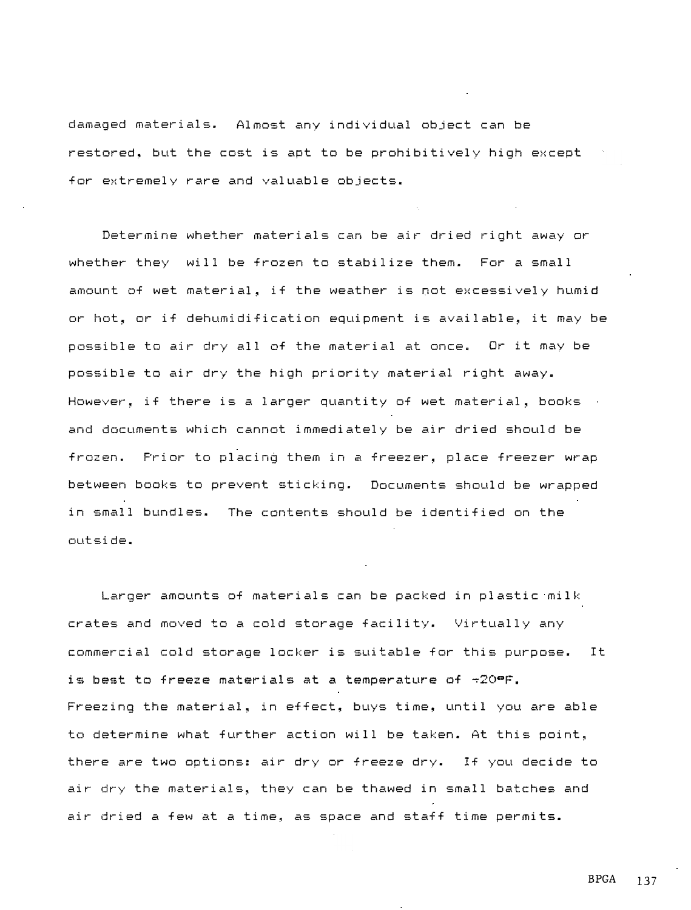damaged materials. Almost any individual object can be restored, but the cost is apt to be prohibitively high except for extremely rare and valuable objects.

Determine whether materials can be air dried right away or whether they will be frozen to stabilize them. For a small amount of wet material, if the weather is not excessively humid or hot, or if dehumidification equipment is available, it may be possible to air dry all of the material at once. Or it may be possible to air dry the high priority material right away. However, if there is a larger quantity of wet material, books and documents which cannot immediately be air dried should be frozen. Prior to placing them in a freezer, place freezer **wrap** between books to prevent sticking. Documents should be wrapped in small bundles. The contents should be identified on the outside.

Larger amounts of materials can be packed in plastic milk crates and moved to a cold storage facility. Virtually any commercial cold storage locker is suitable for this purpose. It is best to freeze materials at a temperature of -20°F. Freezing the material, in effect, buys time, until you are able to determine what further action will be taken. At this point, there are two options: air dry or freeze dry. If you decide to air dry the materials, they can be thawed in small batches and air dried a few at a time, as space and staff time permits.